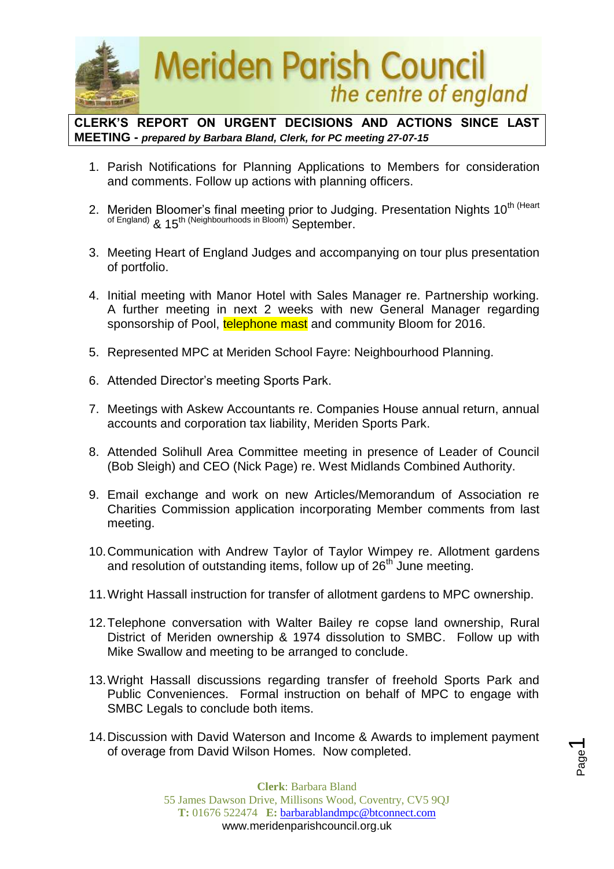

**CLERK'S REPORT ON URGENT DECISIONS AND ACTIONS SINCE LAST MEETING -** *prepared by Barbara Bland, Clerk, for PC meeting 27-07-15*

- 1. Parish Notifications for Planning Applications to Members for consideration and comments. Follow up actions with planning officers.
- 2. Meriden Bloomer's final meeting prior to Judging. Presentation Nights 10<sup>th (Heart</sup> of England) & 15<sup>th (Neighbourhoods in Bloom)</sub> September.</sup>
- 3. Meeting Heart of England Judges and accompanying on tour plus presentation of portfolio.
- 4. Initial meeting with Manor Hotel with Sales Manager re. Partnership working. A further meeting in next 2 weeks with new General Manager regarding sponsorship of Pool, telephone mast and community Bloom for 2016.
- 5. Represented MPC at Meriden School Fayre: Neighbourhood Planning.
- 6. Attended Director's meeting Sports Park.
- 7. Meetings with Askew Accountants re. Companies House annual return, annual accounts and corporation tax liability, Meriden Sports Park.
- 8. Attended Solihull Area Committee meeting in presence of Leader of Council (Bob Sleigh) and CEO (Nick Page) re. West Midlands Combined Authority.
- 9. Email exchange and work on new Articles/Memorandum of Association re Charities Commission application incorporating Member comments from last meeting.
- 10.Communication with Andrew Taylor of Taylor Wimpey re. Allotment gardens and resolution of outstanding items, follow up of  $26<sup>th</sup>$  June meeting.
- 11.Wright Hassall instruction for transfer of allotment gardens to MPC ownership.
- 12.Telephone conversation with Walter Bailey re copse land ownership, Rural District of Meriden ownership & 1974 dissolution to SMBC. Follow up with Mike Swallow and meeting to be arranged to conclude.
- 13.Wright Hassall discussions regarding transfer of freehold Sports Park and Public Conveniences. Formal instruction on behalf of MPC to engage with SMBC Legals to conclude both items.
- 14.Discussion with David Waterson and Income & Awards to implement payment of overage from David Wilson Homes. Now completed.

Page  $\overline{\phantom{0}}$